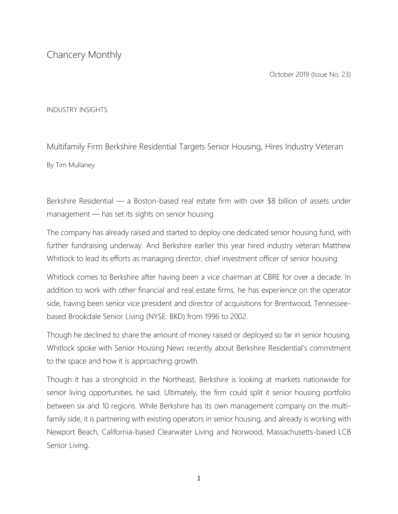Chancery Monthly

October 2019 (Issue No. 23)

## INDUSTRY INSIGHTS

Multifamily Firm Berkshire Residential Targets Senior Housing, Hires Industry Veteran By Tim Mullaney

Berkshire Residential — a Boston-based real estate firm with over \$8 billion of assets under management — has set its sights on senior housing.

The company has already raised and started to deploy one dedicated senior housing fund, with further fundraising underway. And Berkshire earlier this year hired industry veteran Matthew Whitlock to lead its efforts as managing director, chief investment officer of senior housing.

Whitlock comes to Berkshire after having been a vice chairman at CBRE for over a decade. In addition to work with other financial and real estate firms, he has experience on the operator side, having been senior vice president and director of acquisitions for Brentwood, Tennesseebased Brookdale Senior Living (NYSE: BKD) from 1996 to 2002.

Though he declined to share the amount of money raised or deployed so far in senior housing, Whitlock spoke with Senior Housing News recently about Berkshire Residential's commitment to the space and how it is approaching growth.

Though it has a stronghold in the Northeast, Berkshire is looking at markets nationwide for senior living opportunities, he said. Ultimately, the firm could split it senior housing portfolio between six and 10 regions. While Berkshire has its own management company on the multifamily side, it is partnering with existing operators in senior housing, and already is working with Newport Beach, California-based Clearwater Living and Norwood, Massachusetts-based LCB Senior Living.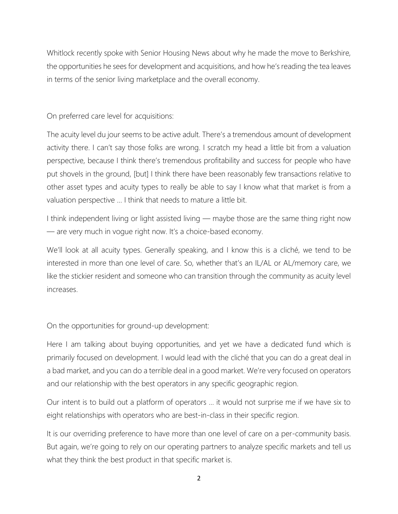Whitlock recently spoke with Senior Housing News about why he made the move to Berkshire, the opportunities he sees for development and acquisitions, and how he's reading the tea leaves in terms of the senior living marketplace and the overall economy.

On preferred care level for acquisitions:

The acuity level du jour seems to be active adult. There's a tremendous amount of development activity there. I can't say those folks are wrong. I scratch my head a little bit from a valuation perspective, because I think there's tremendous profitability and success for people who have put shovels in the ground, [but] I think there have been reasonably few transactions relative to other asset types and acuity types to really be able to say I know what that market is from a valuation perspective … I think that needs to mature a little bit.

I think independent living or light assisted living — maybe those are the same thing right now — are very much in vogue right now. It's a choice-based economy.

We'll look at all acuity types. Generally speaking, and I know this is a cliché, we tend to be interested in more than one level of care. So, whether that's an IL/AL or AL/memory care, we like the stickier resident and someone who can transition through the community as acuity level increases.

On the opportunities for ground-up development:

Here I am talking about buying opportunities, and yet we have a dedicated fund which is primarily focused on development. I would lead with the cliché that you can do a great deal in a bad market, and you can do a terrible deal in a good market. We're very focused on operators and our relationship with the best operators in any specific geographic region.

Our intent is to build out a platform of operators … it would not surprise me if we have six to eight relationships with operators who are best-in-class in their specific region.

It is our overriding preference to have more than one level of care on a per-community basis. But again, we're going to rely on our operating partners to analyze specific markets and tell us what they think the best product in that specific market is.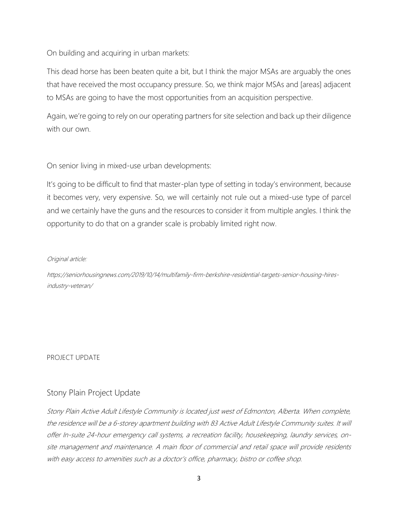On building and acquiring in urban markets:

This dead horse has been beaten quite a bit, but I think the major MSAs are arguably the ones that have received the most occupancy pressure. So, we think major MSAs and [areas] adjacent to MSAs are going to have the most opportunities from an acquisition perspective.

Again, we're going to rely on our operating partners for site selection and back up their diligence with our own.

On senior living in mixed-use urban developments:

It's going to be difficult to find that master-plan type of setting in today's environment, because it becomes very, very expensive. So, we will certainly not rule out a mixed-use type of parcel and we certainly have the guns and the resources to consider it from multiple angles. I think the opportunity to do that on a grander scale is probably limited right now.

## Original article:

https://seniorhousingnews.com/2019/10/14/multifamily-firm-berkshire-residential-targets-senior-housing-hiresindustry-veteran/

PROJECT UPDATE

## Stony Plain Project Update

Stony Plain Active Adult Lifestyle Community is located just west of Edmonton, Alberta. When complete, the residence will be a 6-storey apartment building with 83 Active Adult Lifestyle Community suites. It will offer In-suite 24-hour emergency call systems, a recreation facility, housekeeping, laundry services, onsite management and maintenance. A main floor of commercial and retail space will provide residents with easy access to amenities such as a doctor's office, pharmacy, bistro or coffee shop.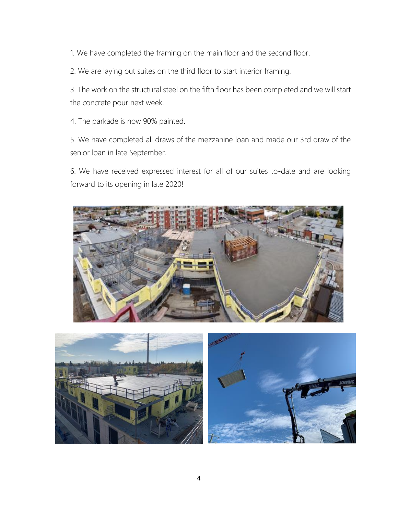1. We have completed the framing on the main floor and the second floor.

2. We are laying out suites on the third floor to start interior framing.

3. The work on the structural steel on the fifth floor has been completed and we will start the concrete pour next week.

4. The parkade is now 90% painted.

5. We have completed all draws of the mezzanine loan and made our 3rd draw of the senior loan in late September.

6. We have received expressed interest for all of our suites to-date and are looking forward to its opening in late 2020!